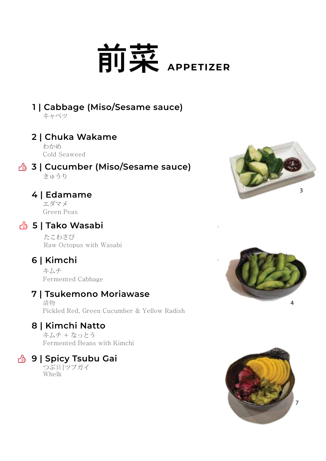# **前菜** APPETIZER

# **1 | Cabbage (Miso/Sesame sauce)**

キャベツ

#### **2 | Chuka Wakame**

わかめ Cold Seaweed

#### **3 | Cucumber (Miso/Sesame sauce)** きゅうり

## **4 | Edamame**

エダマメ Green Peas

## **5 | Tako Wasabi**

たこわさび Raw Octopus with Wasabi

# **6 | Kimchi**

キムチ Fermented Cabbage

## **7 | Tsukemono Moriawase**

漬物 Pickled Red, Green Cucumber & Yellow Radish

## **8 | Kimchi Natto**

キムチ + なっとう Fermented Beans with Kimchi

# **9 | Spicy Tsubu Gai 6.9**

つぶ貝[ツブガイ Whelk





**4.9**

**4.9**

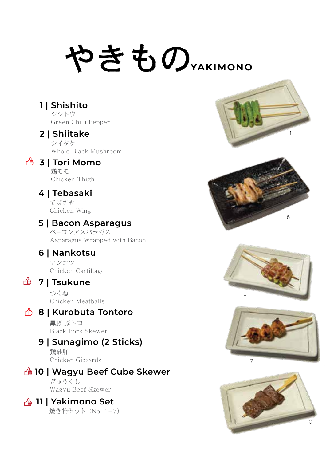# やきもの<sub>VAKIMONO</sub>

**1 | Shishito**  シシトウ

Green Chilli Pepper

#### **2 | Shiitake**

シイタケ Whole Black Mushroom

#### **3 | Tori Momo 3.9**

碧千千 Chicken Thigh

#### **4 | Tebasaki**

てばさき Chicken Wing

#### **5 | Bacon Asparagus**

ベ-コンアスパラガス Asparagus Wrapped with Bacon

#### **6 | Nankotsu**

ナンコツ Chicken Cartillage

## **7 | Tsukune**

つくね Chicken Meatballs

## **8 | Kurobuta Tontoro**

黒豚 豚トロ Black Pork Skewer

## **9 | Sunagimo (2 Sticks)**

Chicken Gizzards 鶏砂肝

# **10 | Wagyu Beef Cube Skewer**

ぎゅうくし Wagyu Beef Skewer

#### **11 | Yakimono Set**

焼き物セット (No. 1-7)









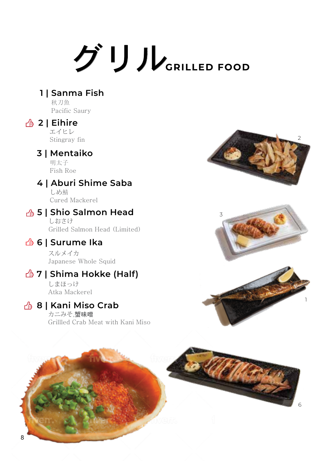# グリル**GRILLED FOOD**

#### **1 | Sanma Fish**

秋刀魚 Pacific Saury

#### **4** 2 | Eihire

エイヒレ Stingray fin

#### **3 | Mentaiko**

明太子 Fish Roe

#### **4 | Aburi Shime Saba**

しめ鯖 Cured Mackerel

#### **5 | Shio Salmon Head**

しおさけ Grilled Salmon Head (Limited)

## **6 | Surume Ika**

スルメイカ Japanese Whole Squid

## **7 | Shima Hokke (Half)**

しまほっけ Atka Mackerel

#### **8 | Kani Miso Crab**

カニみそ,蟹味噌 Grillled Crab Meat with Kani Miso





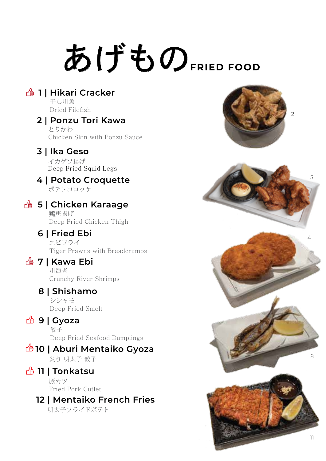# あげもの**FRIED FOOD**

## **4** 1 | Hikari Cracker

干し川魚 Dried Filefish

#### **2 | Ponzu Tori Kawa 4.9**

とりかわ Chicken Skin with Ponzu Sauce

## **3 | Ika Geso 4.9**

Deep Fried Squid Legs イカゲソ揚げ

## **4 | Potato Croquette 5.9**

ポテトコロッケ

#### **4** 5 | Chicken Karaage

鶏唐揚げ Deep Fried Chicken Thigh

## **6 | Fried Ebi**

エビフライ Tiger Prawns with Breadcrumbs

## *<u>4</u>* **7 | Kawa Ebi**

川海老 Crunchy River Shrimps

#### **8 | Shishamo 6.9**

シシャモ Deep Fried Smelt

## *<u>4</u>* **9 | Gyoza**

餃子 Deep Fried Seafood Dumplings

#### **10 | Aburi Mentaiko Gyoza 8.9** 炙り 明太子 餃子

## **11 | Tonkatsu 9.9**

豚カツ Fried Pork Cutlet

# **12 | Mentaiko French Fries 9.9**

明太子フライドポテト



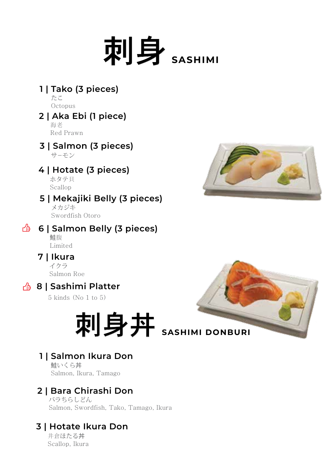

**1 | Tako (3 pieces) 6** たこ

**Octopus** 

#### **2 | Aka Ebi (1 piece) 7** 海老 Red Prawn

#### **3 | Salmon (3 pieces) 7** サ-モン

## **4 | Hotate (3 pieces) 7**

ホタテ貝 Scallop

## **5 | Mekajiki Belly (3 pieces) 9**

メカジキ Swordfish Otoro

#### **6 | Salmon Belly (3 pieces)** 鮭腹

Limited

## **7 | Ikura 10**

イクラ Salmon Roe

# **8** 8 | Sashimi Platter

5 kinds (No 1 to 5)



## **1 | Salmon Ikura Don**

鮭いくら丼 Salmon, Ikura, Tamago

# **2 | Bara Chirashi Don**

バラちらしどん Salmon, Swordfish, Tako, Tamago, Ikura

# **3 | Hotate Ikura Don 25.9**

井倉ほたる丼 Scallop, Ikura

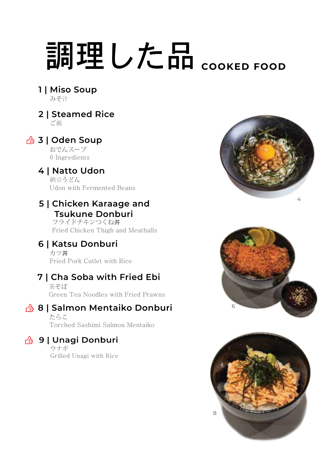# 調理した品 **COOKED FOOD**

**1 | Miso Soup 2.5** みそ汁

# **2 | Steamed Rice 2.5**

ご飯

## **43 | Oden Soup**

おでんスープ 6 Ingredients

#### **4 | Natto Udon 10.9** 納豆うどん Udon with Fermented Beans

#### **5 | Chicken Karaage and Tsukune Donburi**

フライドチキンつくね丼 Fried Chicken Thigh and Meatballs

# **6 | Katsu Donburi 11.9**

カツ丼 Fried Pork Cutlet with Rice

# **7 | Cha Soba with Fried Ebi 12.9**

茶そば Green Tea Noodles with Fried Prawns

# **8 | Salmon Mentaiko Donburi**

たらこ Torched Sashimi Salmon Mentaiko

# **49 9 | Unagi Donburi**

ウナギ Grilled Unagi with Rice





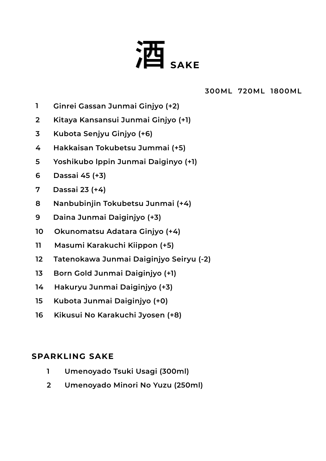

 **300ML 720ML 1800ML**

**35**

- **Ginrei Gassan Junmai Ginjyo (+2) 1**
- **Kitaya Kansansui Junmai Ginjyo (+1) 2**
- **Kubota Senjyu Ginjyo (+6) 3**
- **Hakkaisan Tokubetsu Jummai (+5) 4**
- **Yoshikubo lppin Junmai Daiginyo (+1) 5**
- **Dassai 45 (+3) 6**
- **7 Dassai 23 (+4)**
- **8 Nanbubinjin Tokubetsu Junmai (+4)**
- **9 Daina Junmai Daiginjyo (+3)**
- **10 Okunomatsu Adatara Ginjyo (+4)**
- **11 Masumi Karakuchi Kiippon (+5)**
- **12 Tatenokawa Junmai Daiginjyo Seiryu (-2)**
- **13 Born Gold Junmai Daiginjyo (+1)**
- **14 Hakuryu Junmai Daiginjyo (+3)**
- **15 Kubota Junmai Daiginjyo (+0)**
- **16 Kikusui No Karakuchi Jyosen (+8)**

#### **SPARKLING SAKE**

- **Umenoyado Tsuki Usagi (300ml) 1**
- **Umenoyado Minori No Yuzu (250ml) 2**